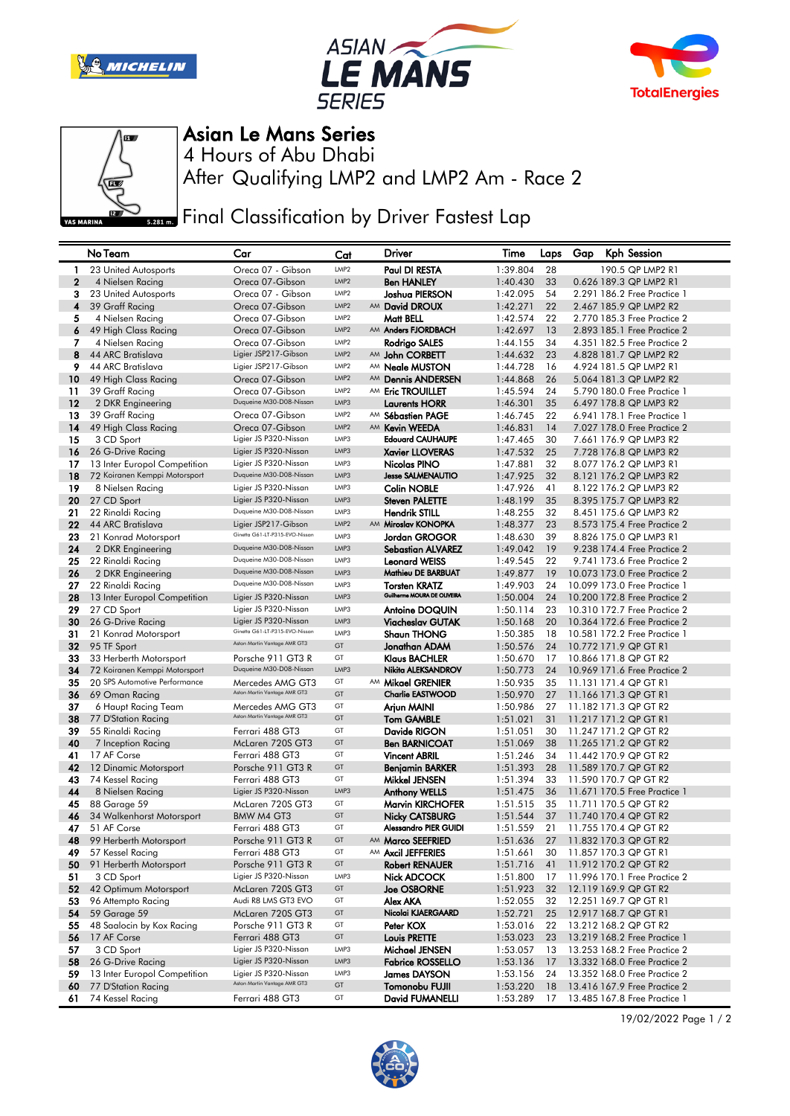







## Asian Le Mans Series

After Qualifying LMP2 and LMP2 Am - Race 2 4 Hours of Abu Dhabi

**Final Classification by Driver Fastest Lap** 

|              | No Team                                   | Car                                              | Cat              | Driver                                  | Time                 | Laps     | Gap | Kph Session                                    |
|--------------|-------------------------------------------|--------------------------------------------------|------------------|-----------------------------------------|----------------------|----------|-----|------------------------------------------------|
| -1           | 23 United Autosports                      | Oreca 07 - Gibson                                | LMP <sub>2</sub> | Paul DI RESTA                           | 1:39.804             | 28       |     | 190.5 QP LMP2 R1                               |
| $\mathbf{2}$ | 4 Nielsen Racing                          | Oreca 07-Gibson                                  | LMP <sub>2</sub> | <b>Ben HANLEY</b>                       | 1:40.430             | 33       |     | 0.626 189.3 QP LMP2 R1                         |
| 3            | 23 United Autosports                      | Oreca 07 - Gibson                                | LMP <sub>2</sub> | Joshua PIERSON                          | 1:42.095             | 54       |     | 2.291 186.2 Free Practice 1                    |
| 4            | 39 Graff Racing                           | Oreca 07-Gibson                                  | LMP <sub>2</sub> | AM David DROUX                          | 1:42.271             | 22       |     | 2.467 185.9 QP LMP2 R2                         |
| 5            | 4 Nielsen Racing                          | Oreca 07-Gibson                                  | LMP <sub>2</sub> | Matt BELL                               | 1:42.574             | 22       |     | 2.770 185.3 Free Practice 2                    |
| 6            | 49 High Class Racing                      | Oreca 07-Gibson                                  | LMP <sub>2</sub> | AM Anders FJORDBACH                     | 1:42.697             | 13       |     | 2.893 185.1 Free Practice 2                    |
| 7            | 4 Nielsen Racing                          | Oreca 07-Gibson                                  | LMP <sub>2</sub> | Rodrigo SALES                           | 1:44.155             | 34       |     | 4.351 182.5 Free Practice 2                    |
| 8            | 44 ARC Bratislava                         | Ligier JSP217-Gibson                             | LMP <sub>2</sub> | AM John CORBETT                         | 1:44.632             | 23       |     | 4.828 181.7 QP LMP2 R2                         |
| 9            | 44 ARC Bratislava                         | Ligier JSP217-Gibson                             | LMP <sub>2</sub> | AM <b>Neale MUSTON</b>                  | 1:44.728             | 16       |     | 4.924 181.5 QP LMP2 R1                         |
| 10           | 49 High Class Racing                      | Oreca 07-Gibson                                  | LMP <sub>2</sub> | AM Dennis ANDERSEN                      | 1:44.868             | 26       |     | 5.064 181.3 QP LMP2 R2                         |
| 11           | 39 Graff Racing                           | Oreca 07-Gibson                                  | LMP <sub>2</sub> | AM Eric TROUILLET                       | 1:45.594             | 24       |     | 5.790 180.0 Free Practice 1                    |
| 12           | 2 DKR Engineering                         | Duqueine M30-D08-Nissan                          | LMP3             | <b>Laurents HORR</b>                    | 1:46.301             | 35       |     | 6.497 178.8 QP LMP3 R2                         |
| 13           | 39 Graff Racing                           | Oreca 07-Gibson                                  | LMP <sub>2</sub> | AM Sébastien PAGE                       | 1:46.745             | 22       |     | 6.941 178.1 Free Practice 1                    |
| 14           | 49 High Class Racing                      | Oreca 07-Gibson                                  | LMP <sub>2</sub> | AM Kevin WEEDA                          | 1:46.831             | 14       |     | 7.027 178.0 Free Practice 2                    |
| 15           | 3 CD Sport                                | Ligier JS P320-Nissan                            | LMP3             | <b>Edouard CAUHAUPE</b>                 | 1:47.465             | 30       |     | 7.661 176.9 QP LMP3 R2                         |
| 16           | 26 G-Drive Racing                         | Ligier JS P320-Nissan                            | LMP3             | <b>Xavier LLOVERAS</b>                  | 1:47.532             | 25       |     | 7.728 176.8 QP LMP3 R2                         |
| 17           | 13 Inter Europol Competition              | Ligier JS P320-Nissan                            | LMP3             | Nicolas PINO                            | 1:47.881             | 32       |     | 8.077 176.2 QP LMP3 R1                         |
| 18           | 72 Koiranen Kemppi Motorsport             | Duqueine M30-D08-Nissan                          | LMP3             | <b>Jesse SALMENAUTIO</b>                | 1:47.925             | 32       |     | 8.121 176.2 QP LMP3 R2                         |
| 19           | 8 Nielsen Racing                          | Ligier JS P320-Nissan                            | LMP3             | <b>Colin NOBLE</b>                      | 1:47.926             | 41       |     | 8.122 176.2 QP LMP3 R2                         |
| 20           | 27 CD Sport                               | Ligier JS P320-Nissan                            | LMP3             | <b>Steven PALETTE</b>                   | 1:48.199             | 35       |     | 8.395 175.7 QP LMP3 R2                         |
| 21           | 22 Rinaldi Racing                         | Duqueine M30-D08-Nissan                          | LMP3             | <b>Hendrik STILL</b>                    | 1:48.255             | 32       |     | 8.451 175.6 QP LMP3 R2                         |
| 22           | 44 ARC Bratislava                         | Ligier JSP217-Gibson                             | LMP <sub>2</sub> | AM Miroslav KONOPKA                     | 1:48.377             | 23       |     | 8.573 175.4 Free Practice 2                    |
| 23           | 21 Konrad Motorsport                      | Ginetta G61-LT-P315-EVO-Nissan                   | LMP3             | <b>Jordan GROGOR</b>                    | 1:48.630             | 39       |     | 8.826 175.0 QP LMP3 R1                         |
| 24           | 2 DKR Engineering                         | Duqueine M30-D08-Nissan                          | LMP3             | <b>Sebastian ALVAREZ</b>                | 1:49.042             | 19       |     | 9.238 174.4 Free Practice 2                    |
| 25           | 22 Rinaldi Racing                         | Duqueine M30-D08-Nissan                          | LMP3             | <b>Leonard WEISS</b>                    | 1:49.545             | 22       |     | 9.741 173.6 Free Practice 2                    |
| 26           | 2 DKR Engineering                         | Duqueine M30-D08-Nissan                          | LMP3             | Mathieu DE BARBUAT                      | 1:49.877             | 19       |     | 10.073 173.0 Free Practice 2                   |
| 27           | 22 Rinaldi Racing                         | Duqueine M30-D08-Nissan                          | LMP3             | <b>Torsten KRATZ</b>                    | 1:49.903             | 24       |     | 10.099 173.0 Free Practice 1                   |
| 28           | 13 Inter Europol Competition              | Ligier JS P320-Nissan                            | LMP3             | Guilherme MOURA DE OLIVEIRA             | 1:50.004             | 24       |     | 10.200 172.8 Free Practice 2                   |
| 29           | 27 CD Sport                               | Ligier JS P320-Nissan                            | LMP3             | <b>Antoine DOQUIN</b>                   | 1:50.114             | 23       |     | 10.310 172.7 Free Practice 2                   |
| 30           | 26 G-Drive Racing                         | Ligier JS P320-Nissan                            | LMP3             | Viacheslav GUTAK                        | 1:50.168             | 20       |     | 10.364 172.6 Free Practice 2                   |
| 31           | 21 Konrad Motorsport                      | Ginetta G61-LT-P315-EVO-Nissan                   | LMP3             | <b>Shaun THONG</b>                      | 1:50.385             | 18       |     | 10.581 172.2 Free Practice 1                   |
| 32           | 95 TF Sport                               | Aston Martin Vantage AMR GT3                     | GT               | Jonathan ADAM                           | 1:50.576             | 24       |     | 10.772 171.9 QP GT R1                          |
| 33           | 33 Herberth Motorsport                    | Porsche 911 GT3 R                                | GT               | <b>Klaus BACHLER</b>                    | 1:50.670             | 17       |     | 10.866 171.8 QP GT R2                          |
| 34           | 72 Koiranen Kemppi Motorsport             | Duqueine M30-D08-Nissan                          | LMP3             | Nikita ALEKSANDROV                      | 1:50.773             | 24       |     | 10.969 171.6 Free Practice 2                   |
| 35           | 20 SPS Automotive Performance             | Mercedes AMG GT3<br>Aston Martin Vantage AMR GT3 | GT               | AM Mikael GRENIER                       | 1:50.935             | 35       |     | 11.131 171.4 QP GT R1                          |
| 36           | 69 Oman Racing                            |                                                  | GT               | <b>Charlie EASTWOOD</b>                 | 1:50.970             | 27       |     | 11.166 171.3 QP GT R1                          |
| 37           | 6 Haupt Racing Team                       | Mercedes AMG GT3<br>Aston Martin Vantage AMR GT3 | GT               | Arjun MAINI                             | 1:50.986             | 27       |     | 11.182 171.3 QP GT R2                          |
| 38           | 77 D'Station Racing                       |                                                  | GT               | <b>Tom GAMBLE</b>                       | 1:51.021             | 31       |     | 11.217 171.2 QP GT R1                          |
| 39           | 55 Rinaldi Racing                         | Ferrari 488 GT3                                  | GT<br>GT         | Davide RIGON                            | 1:51.051             | 30       |     | 11.247 171.2 QP GT R2                          |
| 40           | 7 Inception Racing                        | McLaren 720S GT3                                 | GT               | <b>Ben BARNICOAT</b>                    | 1:51.069             | 38       |     | 11.265 171.2 QP GT R2                          |
| 41<br>42     | 17 AF Corse                               | Ferrari 488 GT3<br>Porsche 911 GT3 R             | GT               | <b>Vincent ABRIL</b>                    | 1:51.246             | 34<br>28 |     | 11.442 170.9 QP GT R2                          |
| 43           | 12 Dinamic Motorsport<br>74 Kessel Racing | Ferrari 488 GT3                                  | GT               | <b>Benjamin BARKER</b><br>Mikkel JENSEN | 1:51.393<br>1:51.394 | 33       |     | 11.589 170.7 QP GT R2<br>11.590 170.7 QP GT R2 |
| 44           | 8 Nielsen Racing                          | Ligier JS P320-Nissan                            | LMP3             | <b>Anthony WELLS</b>                    | 1:51.475             | 36       |     | 11.671 170.5 Free Practice 1                   |
| 45           | 88 Garage 59                              | McLaren 720S GT3                                 | GT               | <b>Marvin KIRCHOFER</b>                 | 1:51.515             | 35       |     | 11.711 170.5 QP GT R2                          |
| 46           | 34 Walkenhorst Motorsport                 | BMW M4 GT3                                       | GT               | Nicky CATSBURG                          | 1:51.544             | 37       |     | 11.740 170.4 QP GT R2                          |
| 47           | 51 AF Corse                               | Ferrari 488 GT3                                  | GT               | <b>Alessandro PIER GUIDI</b>            | 1:51.559             | 21       |     | 11.755 170.4 QP GT R2                          |
| 48           | 99 Herberth Motorsport                    | Porsche 911 GT3 R                                | GT               | AM Marco SEEFRIED                       | 1:51.636             | 27       |     | 11.832 170.3 QP GT R2                          |
| 49           | 57 Kessel Racing                          | Ferrari 488 GT3                                  | GT               | AM Axcil JEFFERIES                      | 1:51.661             | 30       |     | 11.857 170.3 QP GT R1                          |
| 50           | 91 Herberth Motorsport                    | Porsche 911 GT3 R                                | GT               | <b>Robert RENAUER</b>                   | 1:51.716             | 41       |     | 11.912 170.2 QP GT R2                          |
| 51           | 3 CD Sport                                | Ligier JS P320-Nissan                            | LMP3             | Nick ADCOCK                             | 1:51.800             | 17       |     | 11.996 170.1 Free Practice 2                   |
| 52           | 42 Optimum Motorsport                     | McLaren 720S GT3                                 | GT               | <b>Joe OSBORNE</b>                      | 1:51.923             | 32       |     | 12.119 169.9 QP GT R2                          |
| 53           | 96 Attempto Racing                        | Audi R8 LMS GT3 EVO                              | GT               | Alex AKA                                | 1:52.055             | 32       |     | 12.251 169.7 QP GT R1                          |
| 54           | 59 Garage 59                              | McLaren 720S GT3                                 | GT               | Nicolai KJAERGAARD                      | 1:52.721             | 25       |     | 12.917 168.7 QP GT R1                          |
| 55           | 48 Saalocin by Kox Racing                 | Porsche 911 GT3 R                                | GT               | Peter KOX                               | 1:53.016             | 22       |     | 13.212 168.2 QP GT R2                          |
| 56           | 17 AF Corse                               | Ferrari 488 GT3                                  | GT               | <b>Louis PRETTE</b>                     | 1:53.023             | 23       |     | 13.219 168.2 Free Practice 1                   |
| 57           | 3 CD Sport                                | Ligier JS P320-Nissan                            | LMP3             | Michael JENSEN                          | 1:53.057             | 13       |     | 13.253 168.2 Free Practice 2                   |
| 58           | 26 G-Drive Racing                         | Ligier JS P320-Nissan                            | LMP3             | <b>Fabrice ROSSELLO</b>                 | 1:53.136             | 17       |     | 13.332 168.0 Free Practice 2                   |
| 59           | 13 Inter Europol Competition              | Ligier JS P320-Nissan                            | LMP3             | <b>James DAYSON</b>                     | 1:53.156             | 24       |     | 13.352 168.0 Free Practice 2                   |
| 60           | 77 D'Station Racing                       | Aston Martin Vantage AMR GT3                     | GT               | Tomonobu FUJII                          | 1:53.220             | 18       |     | 13.416 167.9 Free Practice 2                   |
| 61           | 74 Kessel Racing                          | Ferrari 488 GT3                                  | GT               | David FUMANELLI                         | 1:53.289             | 17       |     | 13.485 167.8 Free Practice 1                   |

19/02/2022 Page 1 / 2